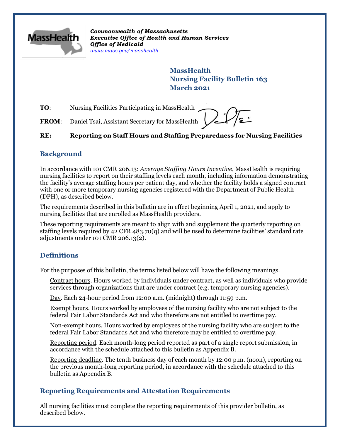

*Commonwealth of Massachusetts Executive Office of Health and Human Services Office of Medicaid [www.mass.gov/masshealth](http://www.mass.gov/masshealth)*

> **MassHealth Nursing Facility Bulletin 163 March 2021**

**TO:** Nursing Facilities Participating in MassHealth

FROM: Daniel Tsai, Assistant Secretary for MassHealth

#### **RE: Reporting on Staff Hours and Staffing Preparedness for Nursing Facilities**

#### **Background**

In accordance with 101 CMR 206.13: *Average Staffing Hours Incentive*, MassHealth is requiring nursing facilities to report on their staffing levels each month, including information demonstrating the facility's average staffing hours per patient day, and whether the facility holds a signed contract with one or more temporary nursing agencies registered with the Department of Public Health (DPH), as described below.

The requirements described in this bulletin are in effect beginning April 1, 2021, and apply to nursing facilities that are enrolled as MassHealth providers.

These reporting requirements are meant to align with and supplement the quarterly reporting on staffing levels required by 42 CFR 483.70(q) and will be used to determine facilities' standard rate adjustments under 101 CMR 206.13(2).

# **Definitions**

For the purposes of this bulletin, the terms listed below will have the following meanings.

Contract hours. Hours worked by individuals under contract, as well as individuals who provide services through organizations that are under contract (e.g. temporary nursing agencies).

Day. Each 24-hour period from 12:00 a.m. (midnight) through 11:59 p.m.

Exempt hours. Hours worked by employees of the nursing facility who are not subject to the federal Fair Labor Standards Act and who therefore are not entitled to overtime pay.

Non-exempt hours. Hours worked by employees of the nursing facility who are subject to the federal Fair Labor Standards Act and who therefore may be entitled to overtime pay.

Reporting period. Each month-long period reported as part of a single report submission, in accordance with the schedule attached to this bulletin as Appendix B.

Reporting deadline. The tenth business day of each month by 12:00 p.m. (noon), reporting on the previous month-long reporting period, in accordance with the schedule attached to this bulletin as Appendix B.

## **Reporting Requirements and Attestation Requirements**

All nursing facilities must complete the reporting requirements of this provider bulletin, as described below.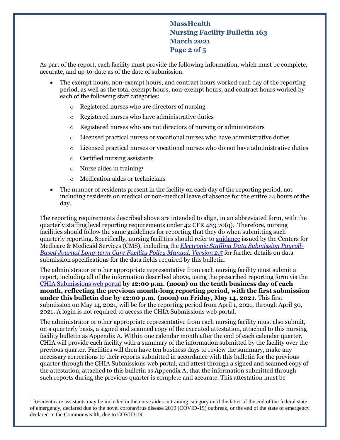# **MassHealth Nursing Facility Bulletin 163 March 2021 Page 2 of 5**

As part of the report, each facility must provide the following information, which must be complete, accurate, and up-to-date as of the date of submission.

- The exempt hours, non-exempt hours, and contract hours worked each day of the reporting period, as well as the total exempt hours, non-exempt hours, and contract hours worked by each of the following staff categories:
	- o Registered nurses who are directors of nursing
	- o Registered nurses who have administrative duties
	- o Registered nurses who are not directors of nursing or administrators
	- o Licensed practical nurses or vocational nurses who have administrative duties
	- o Licensed practical nurses or vocational nurses who do not have administrative duties
	- o Certified nursing assistants
	- $\circ$  Nurse aides in training<sup>1</sup>

 $\overline{a}$ 

- o Medication aides or technicians
- The number of residents present in the facility on each day of the reporting period, not including residents on medical or non-medical leave of absence for the entire 24 hours of the day.

The reporting requirements described above are intended to align, in an abbreviated form, with the quarterly staffing level reporting requirements under 42 CFR 483.70(q). Therefore, nursing facilities should follow the same guidelines for reporting that they do when submitting such quarterly reporting. Specifically, nursing facilities should refer t[o guidance](https://www.cms.gov/Medicare/Quality-Initiatives-Patient-Assessment-Instruments/NursingHomeQualityInits/Staffing-Data-Submission-PBJ) issued by the Centers for Medicare & Medicaid Services (CMS), including the *[Electronic Staffing Data Submission Payroll-](https://www.cms.gov/Medicare/Quality-Initiatives-Patient-Assessment-Instruments/NursingHomeQualityInits/Downloads/PBJ-Policy-Manual-Final-V25-11-19-2018.pdf)Based Journal [Long-term Care Facility Policy Manual, Version 2.5](https://www.cms.gov/Medicare/Quality-Initiatives-Patient-Assessment-Instruments/NursingHomeQualityInits/Downloads/PBJ-Policy-Manual-Final-V25-11-19-2018.pdf)* for further details on data submission specifications for the data fields required by this bulletin.

The administrator or other appropriate representative from each nursing facility must submit a report, including all of the information described above, using the prescribed reporting form via the [CHIA Submissions web portal](https://chiasubmissions.chia.state.ma.us/NHPDR/) **by 12:00 p.m. (noon) on the tenth business day of each month, reflecting the previous month-long reporting period, with the first submission under this bulletin due by 12:00 p.m. (noon) on Friday, May 14, 2021.** This first submission on May 14, 2021, will be for the reporting period from April 1, 2021, through April 30, 2021**.** A login is not required to access the CHIA Submissions web portal.

The administrator or other appropriate representative from each nursing facility must also submit, on a quarterly basis, a signed and scanned copy of the executed attestation, attached to this nursing facility bulletin as Appendix A. Within one calendar month after the end of each calendar quarter, CHIA will provide each facility with a summary of the information submitted by the facility over the previous quarter. Facilities will then have ten business days to review the summary, make any necessary corrections to their reports submitted in accordance with this bulletin for the previous quarter through the CHIA Submissions web portal, and attest through a signed and scanned copy of the attestation, attached to this bulletin as Appendix A, that the information submitted through such reports during the previous quarter is complete and accurate. This attestation must be

Resident care assistants may be included in the nurse aides in training category until the latter of the end of the federal state of emergency, declared due to the novel coronavirus disease 2019 (COVID-19) outbreak, or the end of the state of emergency declared in the Commonwealth, due to COVID-19.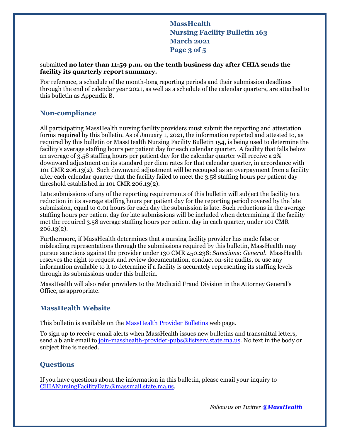# **MassHealth Nursing Facility Bulletin 163 March 2021 Page 3 of 5**

#### submitted **no later than 11:59 p.m. on the tenth business day after CHIA sends the facility its quarterly report summary.**

For reference, a schedule of the month-long reporting periods and their submission deadlines through the end of calendar year 2021, as well as a schedule of the calendar quarters, are attached to this bulletin as Appendix B.

## **Non-compliance**

All participating MassHealth nursing facility providers must submit the reporting and attestation forms required by this bulletin. As of January 1, 2021, the information reported and attested to, as required by this bulletin or MassHealth Nursing Facility Bulletin 154, is being used to determine the facility's average staffing hours per patient day for each calendar quarter. A facility that falls below an average of 3.58 staffing hours per patient day for the calendar quarter will receive a 2% downward adjustment on its standard per diem rates for that calendar quarter, in accordance with 101 CMR 206.13(2). Such downward adjustment will be recouped as an overpayment from a facility after each calendar quarter that the facility failed to meet the 3.58 staffing hours per patient day threshold established in 101 CMR 206.13(2).

Late submissions of any of the reporting requirements of this bulletin will subject the facility to a reduction in its average staffing hours per patient day for the reporting period covered by the late submission, equal to 0.01 hours for each day the submission is late. Such reductions in the average staffing hours per patient day for late submissions will be included when determining if the facility met the required 3.58 average staffing hours per patient day in each quarter, under 101 CMR 206.13(2).

Furthermore, if MassHealth determines that a nursing facility provider has made false or misleading representations through the submissions required by this bulletin, MassHealth may pursue sanctions against the provider under 130 CMR 450.238: *Sanctions: General*. MassHealth reserves the right to request and review documentation, conduct on-site audits, or use any information available to it to determine if a facility is accurately representing its staffing levels through its submissions under this bulletin.

MassHealth will also refer providers to the Medicaid Fraud Division in the Attorney General's Office, as appropriate.

#### **MassHealth Website**

This bulletin is available on th[e MassHealth Provider Bulletins](http://www.mass.gov/masshealth-provider-bulletins) web page.

To sign up to receive email alerts when MassHealth issues new bulletins and transmittal letters, send a blank email to [join-masshealth-provider-pubs@listserv.state.ma.us.](mailto:join-masshealth-provider-pubs@listserv.state.ma.us) No text in the body or subject line is needed.

## **Questions**

If you have questions about the information in this bulletin, please email your inquiry to [CHIANursingFacilityData@massmail.state.ma.us.](mailto:CHIANursingFacilityData@massmail.state.ma.us)

*Follow us on Twitter [@MassHealth](https://twitter.com/masshealth)*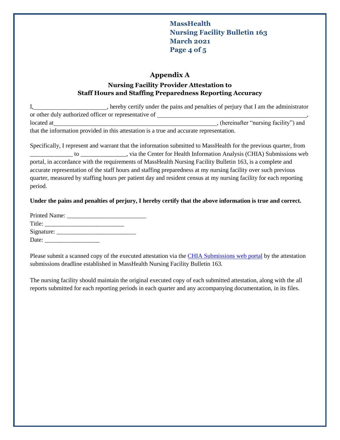**MassHealth Nursing Facility Bulletin 163 March 2021 Page 4 of 5**

#### **Appendix A**

## **Nursing Facility Provider Attestation to Staff Hours and Staffing Preparedness Reporting Accuracy**

I, hereby certify under the pains and penalties of perjury that I am the administrator or other duly authorized officer or representative of  $\overline{\phantom{a}}$ located at , (hereinafter "nursing facility") and that the information provided in this attestation is a true and accurate representation.

Specifically, I represent and warrant that the information submitted to MassHealth for the previous quarter, from \_\_\_\_\_\_\_\_\_\_\_\_\_\_ to \_\_\_\_\_\_\_\_\_\_\_\_\_\_\_, via the Center for Health Information Analysis (CHIA) Submissions web portal, in accordance with the requirements of MassHealth Nursing Facility Bulletin 163, is a complete and accurate representation of the staff hours and staffing preparedness at my nursing facility over such previous quarter, measured by staffing hours per patient day and resident census at my nursing facility for each reporting period.

#### **Under the pains and penalties of perjury, I hereby certify that the above information is true and correct.**

| Title: |  |
|--------|--|
|        |  |
| Date:  |  |

Please submit a scanned copy of the executed attestation via the [CHIA Submissions web portal](https://chiasubmissions.chia.state.ma.us/NHPDR/) by the attestation submissions deadline established in MassHealth Nursing Facility Bulletin 163.

The nursing facility should maintain the original executed copy of each submitted attestation, along with the all reports submitted for each reporting periods in each quarter and any accompanying documentation, in its files.